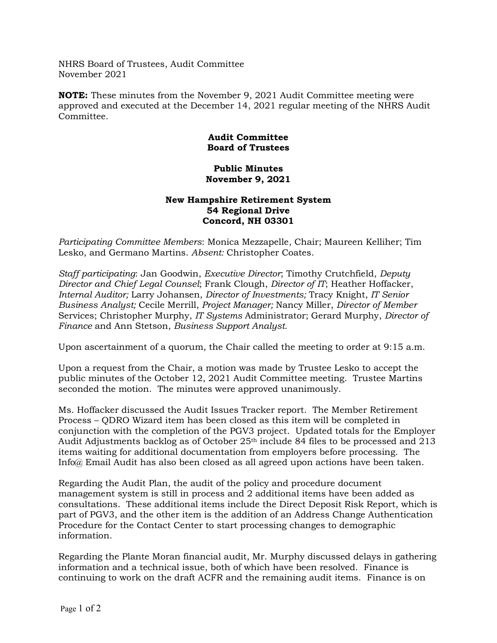NHRS Board of Trustees, Audit Committee November 2021

**NOTE:** These minutes from the November 9, 2021 Audit Committee meeting were approved and executed at the December 14, 2021 regular meeting of the NHRS Audit Committee.

## **Audit Committee Board of Trustees**

## **Public Minutes November 9, 2021**

## **New Hampshire Retirement System 54 Regional Drive Concord, NH 03301**

*Participating Committee Members*: Monica Mezzapelle, Chair; Maureen Kelliher; Tim Lesko, and Germano Martins. *Absent:* Christopher Coates.

*Staff participating*: Jan Goodwin, *Executive Director*; Timothy Crutchfield, *Deputy Director and Chief Legal Counsel*; Frank Clough, *Director of IT*; Heather Hoffacker, *Internal Auditor;* Larry Johansen, *Director of Investments;* Tracy Knight, *IT Senior Business Analyst;* Cecile Merrill, *Project Manager;* Nancy Miller, *Director of Member*  Services; Christopher Murphy, *IT Systems* Administrator; Gerard Murphy, *Director of Finance* and Ann Stetson, *Business Support Analyst.*

Upon ascertainment of a quorum, the Chair called the meeting to order at 9:15 a.m.

Upon a request from the Chair, a motion was made by Trustee Lesko to accept the public minutes of the October 12, 2021 Audit Committee meeting. Trustee Martins seconded the motion. The minutes were approved unanimously.

Ms. Hoffacker discussed the Audit Issues Tracker report. The Member Retirement Process – QDRO Wizard item has been closed as this item will be completed in conjunction with the completion of the PGV3 project. Updated totals for the Employer Audit Adjustments backlog as of October 25th include 84 files to be processed and 213 items waiting for additional documentation from employers before processing. The Info@ Email Audit has also been closed as all agreed upon actions have been taken.

Regarding the Audit Plan, the audit of the policy and procedure document management system is still in process and 2 additional items have been added as consultations. These additional items include the Direct Deposit Risk Report, which is part of PGV3, and the other item is the addition of an Address Change Authentication Procedure for the Contact Center to start processing changes to demographic information.

Regarding the Plante Moran financial audit, Mr. Murphy discussed delays in gathering information and a technical issue, both of which have been resolved. Finance is continuing to work on the draft ACFR and the remaining audit items. Finance is on